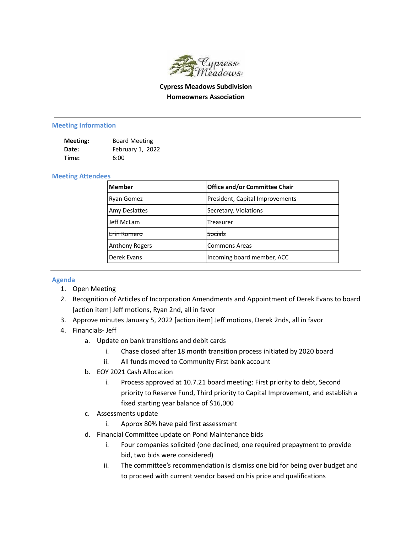

## **Cypress Meadows Subdivision Homeowners Association**

## **Meeting Information**

| Meeting: | <b>Board Meeting</b> |
|----------|----------------------|
| Date:    | February 1, 2022     |
| Time:    | 6:00                 |

## **Meeting Attendees**

| <b>Member</b>         | <b>Office and/or Committee Chair</b> |
|-----------------------|--------------------------------------|
| Ryan Gomez            | President, Capital Improvements      |
| Amy Deslattes         | Secretary, Violations                |
| Jeff McLam            | Treasurer                            |
| Frin Romero           | <del>Socials</del>                   |
| <b>Anthony Rogers</b> | <b>Commons Areas</b>                 |
| Derek Evans           | Incoming board member, ACC           |

## **Agenda**

- 1. Open Meeting
- 2. Recognition of Articles of Incorporation Amendments and Appointment of Derek Evans to board [action item] Jeff motions, Ryan 2nd, all in favor
- 3. Approve minutes January 5, 2022 [action item] Jeff motions, Derek 2nds, all in favor
- 4. Financials- Jeff
	- a. Update on bank transitions and debit cards
		- i. Chase closed after 18 month transition process initiated by 2020 board
		- ii. All funds moved to Community First bank account
	- b. EOY 2021 Cash Allocation
		- i. Process approved at 10.7.21 board meeting: First priority to debt, Second priority to Reserve Fund, Third priority to Capital Improvement, and establish a fixed starting year balance of \$16,000
	- c. Assessments update
		- i. Approx 80% have paid first assessment
	- d. Financial Committee update on Pond Maintenance bids
		- i. Four companies solicited (one declined, one required prepayment to provide bid, two bids were considered)
		- ii. The committee's recommendation is dismiss one bid for being over budget and to proceed with current vendor based on his price and qualifications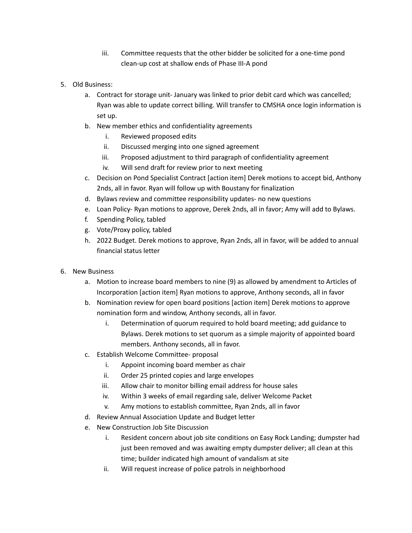- iii. Committee requests that the other bidder be solicited for a one-time pond clean-up cost at shallow ends of Phase III-A pond
- 5. Old Business:
	- a. Contract for storage unit- January was linked to prior debit card which was cancelled; Ryan was able to update correct billing. Will transfer to CMSHA once login information is set up.
	- b. New member ethics and confidentiality agreements
		- i. Reviewed proposed edits
		- ii. Discussed merging into one signed agreement
		- iii. Proposed adjustment to third paragraph of confidentiality agreement
		- iv. Will send draft for review prior to next meeting
	- c. Decision on Pond Specialist Contract [action item] Derek motions to accept bid, Anthony 2nds, all in favor. Ryan will follow up with Boustany for finalization
	- d. Bylaws review and committee responsibility updates- no new questions
	- e. Loan Policy- Ryan motions to approve, Derek 2nds, all in favor; Amy will add to Bylaws.
	- f. Spending Policy, tabled
	- g. Vote/Proxy policy, tabled
	- h. 2022 Budget. Derek motions to approve, Ryan 2nds, all in favor, will be added to annual financial status letter
- 6. New Business
	- a. Motion to increase board members to nine (9) as allowed by amendment to Articles of Incorporation [action item] Ryan motions to approve, Anthony seconds, all in favor
	- b. Nomination review for open board positions [action item] Derek motions to approve nomination form and window, Anthony seconds, all in favor.
		- i. Determination of quorum required to hold board meeting; add guidance to Bylaws. Derek motions to set quorum as a simple majority of appointed board members. Anthony seconds, all in favor.
	- c. Establish Welcome Committee- proposal
		- i. Appoint incoming board member as chair
		- ii. Order 25 printed copies and large envelopes
		- iii. Allow chair to monitor billing email address for house sales
		- iv. Within 3 weeks of email regarding sale, deliver Welcome Packet
		- v. Amy motions to establish committee, Ryan 2nds, all in favor
	- d. Review Annual Association Update and Budget letter
	- e. New Construction Job Site Discussion
		- i. Resident concern about job site conditions on Easy Rock Landing; dumpster had just been removed and was awaiting empty dumpster deliver; all clean at this time; builder indicated high amount of vandalism at site
		- ii. Will request increase of police patrols in neighborhood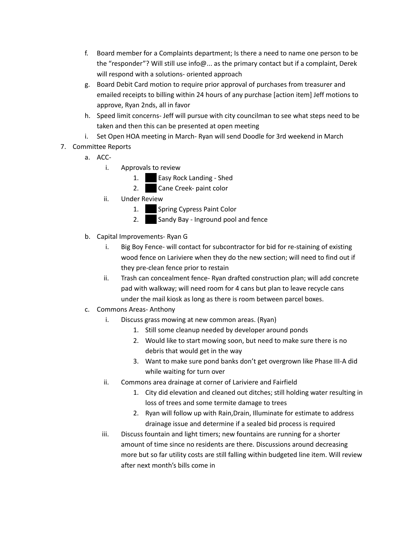- f. Board member for a Complaints department; Is there a need to name one person to be the "responder"? Will still use info@... as the primary contact but if a complaint, Derek will respond with a solutions- oriented approach
- g. Board Debit Card motion to require prior approval of purchases from treasurer and emailed receipts to billing within 24 hours of any purchase [action item] Jeff motions to approve, Ryan 2nds, all in favor
- h. Speed limit concerns- Jeff will pursue with city councilman to see what steps need to be taken and then this can be presented at open meeting
- i. Set Open HOA meeting in March- Ryan will send Doodle for 3rd weekend in March
- 7. Committee Reports
	- a. ACC
		- i. Approvals to review
			- 1. **306 Easy Rock Landing Shed**
			- 2. **Cane Creek- paint color**
		- ii. Under Review
			- 1. Spring Cypress Paint Color
			- 2. Sandy Bay Inground pool and fence
	- b. Capital Improvements- Ryan G
		- i. Big Boy Fence- will contact for subcontractor for bid for re-staining of existing wood fence on Lariviere when they do the new section; will need to find out if they pre-clean fence prior to restain
		- ii. Trash can concealment fence- Ryan drafted construction plan; will add concrete pad with walkway; will need room for 4 cans but plan to leave recycle cans under the mail kiosk as long as there is room between parcel boxes.
	- c. Commons Areas- Anthony
		- i. Discuss grass mowing at new common areas. (Ryan)
			- 1. Still some cleanup needed by developer around ponds
			- 2. Would like to start mowing soon, but need to make sure there is no debris that would get in the way
			- 3. Want to make sure pond banks don't get overgrown like Phase III-A did while waiting for turn over
		- ii. Commons area drainage at corner of Lariviere and Fairfield
			- 1. City did elevation and cleaned out ditches; still holding water resulting in loss of trees and some termite damage to trees
			- 2. Ryan will follow up with Rain,Drain, Illuminate for estimate to address drainage issue and determine if a sealed bid process is required
		- iii. Discuss fountain and light timers; new fountains are running for a shorter amount of time since no residents are there. Discussions around decreasing more but so far utility costs are still falling within budgeted line item. Will review after next month's bills come in